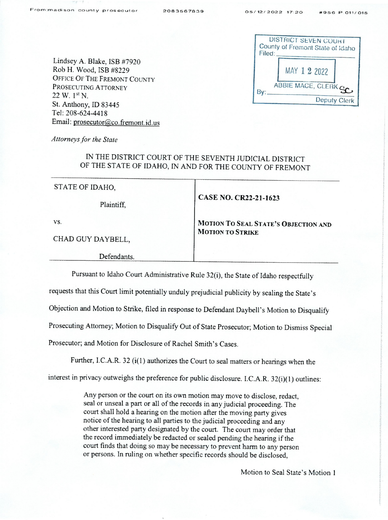| Filed: | <b>DISTRICT SEVEN COURT</b><br>County of Fremont State of Idaho |
|--------|-----------------------------------------------------------------|
|        | MAY 1 2 2022                                                    |
|        | ABBIE MACE, CLERK SC.                                           |
|        | Deputy Clerk                                                    |

Lindsey A. Blake, ISB #7920 Rob H. Wood, ISB #8229 OFFICE OF THE FREMONT COUNTY PROSECUTING ATTORNEY  $22 W. 1<sup>st</sup> N.$ St. Anthony, ID <sup>83445</sup> Tel: 208-624-4418 Email: prosecutor@co.fremont.id.us

Attorneys for the State

## IN THE DISTRICT COURT OF THE SEVENTH JUDICIAL DISTRICT OF THE STATE OF IDAHO, IN AND FOR THE COUNTY OF FREMONT

| STATE OF IDAHO,   |                                      |
|-------------------|--------------------------------------|
| Plaintiff,        | CASE NO. CR22-21-1623                |
| VS.               | MOTION TO SEAL STATE'S OBJECTION AND |
| CHAD GUY DAYBELL, | <b>MOTION TO STRIKE</b>              |
| Defendants.       |                                      |

Pursuant to Idaho Court Administrative Rule 32(i), the State of Idaho respectfully

requests that this Court limit potentially unduly prejudicial publicity by sealing the State's

Objection and Motion to Stn'ke, filed in response to Defendant Daybell's Motion to Disqualify

Prosecuting Attorney; Motion to Disqualify Out of State Prosecutor; Motion to Dismiss Special

Prosecutor; and Motion for Disclosure of Rachel Smith's Cases.

Further, I.C.A.R. <sup>32</sup> (i(1) authorizes the Court to seal matters or hearings when the

interest in privacy outweighs the preference for public disclosure. I.C.A.R. 32(i)(1) outlines:

Any person or the court on its own motion may move to disclose, redact, seal or unseal a part or all of the records in any judicial proceeding. The court shall hold a hearing on the motion after the moving party gives notice of the hearing to all parties to the judicial proceeding and any other interested party designated by the court. The court may order that the record immediately be redacted or sealed pending the hearing if the court finds that doing so may be necessary to prevent harm to any person or persons. In ruling on whether specific records should be disclosed,

Motion to Seal State's Motion 1